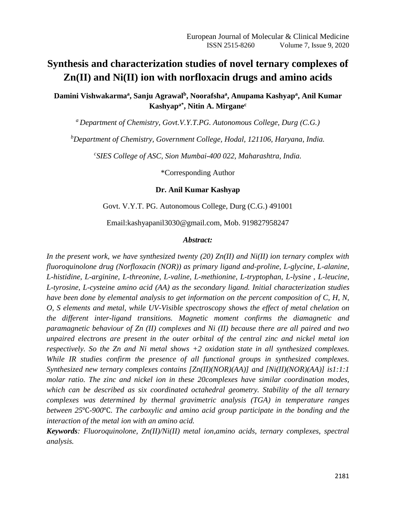# **Synthesis and characterization studies of novel ternary complexes of Zn(II) and Ni(II) ion with norfloxacin drugs and amino acids**

**Damini Vishwakarma<sup>a</sup> , Sanju Agrawal<sup>b</sup> , Noorafsha<sup>a</sup> , Anupama Kashyap<sup>a</sup> , Anil Kumar Kashyapa\*, Nitin A. Mirgane<sup>c</sup>**

*<sup>a</sup>Department of Chemistry, Govt.V.Y.T.PG. Autonomous College, Durg (C.G.)* 

*<sup>b</sup>Department of Chemistry, Government College, Hodal, 121106, Haryana, India.* 

*c SIES College of ASC, Sion Mumbai-400 022, Maharashtra, India.*

\*Corresponding Author

#### **Dr. Anil Kumar Kashyap**

Govt. V.Y.T. PG. Autonomous College, Durg (C.G.) 491001

[Email:kashyapanil3030@gmail.com,](mailto:kashyapanil3030@gmail.com) Mob. 919827958247

#### *Abstract:*

*In the present work, we have synthesized twenty (20) Zn(II) and Ni(II) ion ternary complex with fluoroquinolone drug (Norfloxacin (NOR)) as primary ligand and-proline, L-glycine, L-alanine, L-histidine, L-arginine, L-threonine, L-valine, L-methionine, L-tryptophan, L-lysine , L-leucine, L-tyrosine, L-cysteine amino acid (AA) as the secondary ligand. Initial characterization studies have been done by elemental analysis to get information on the percent composition of C, H, N, O, S elements and metal, while UV-Visible spectroscopy shows the effect of metal chelation on the different inter-ligand transitions. Magnetic moment confirms the diamagnetic and paramagnetic behaviour of Zn (II) complexes and Ni (II) because there are all paired and two unpaired electrons are present in the outer orbital of the central zinc and nickel metal ion respectively. So the Zn and Ni metal shows +2 oxidation state in all synthesized complexes. While IR studies confirm the presence of all functional groups in synthesized complexes. Synthesized new ternary complexes contains [Zn(II)(NOR)(AA)] and [Ni(II)(NOR)(AA)] is1:1:1 molar ratio. The zinc and nickel ion in these 20complexes have similar coordination modes, which can be described as six coordinated octahedral geometry. Stability of the all ternary complexes was determined by thermal gravimetric analysis (TGA) in temperature ranges between 25*℃*-900*℃*. The carboxylic and amino acid group participate in the bonding and the interaction of the metal ion with an amino acid.*

*Keywords: Fluoroquinolone, Zn(II)/Ni(II) metal ion,amino acids, ternary complexes, spectral analysis.*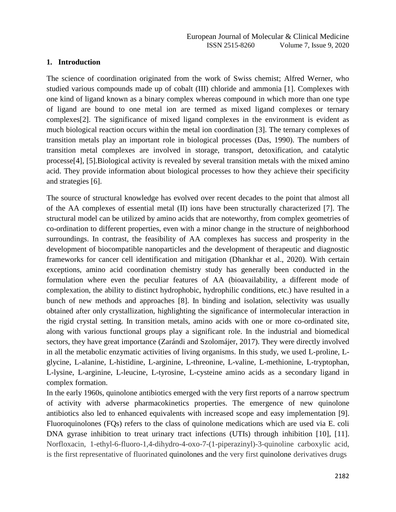#### **1. Introduction**

The science of coordination originated from the work of Swiss chemist; Alfred Werner, who studied various compounds made up of cobalt (III) chloride and ammonia [1]. Complexes with one kind of ligand known as a binary complex whereas compound in which more than one type of ligand are bound to one metal ion are termed as mixed ligand complexes or ternary complexes[2]. The significance of mixed ligand complexes in the environment is evident as much biological reaction occurs within the metal ion coordination [3]. The ternary complexes of transition metals play an important role in biological processes (Das, 1990). The numbers of transition metal complexes are involved in storage, transport, detoxification, and catalytic processe[4], [5].Biological activity is revealed by several transition metals with the mixed amino acid. They provide information about biological processes to how they achieve their specificity and strategies [6].

The source of structural knowledge has evolved over recent decades to the point that almost all of the AA complexes of essential metal (II) ions have been structurally characterized [7]. The structural model can be utilized by amino acids that are noteworthy, from complex geometries of co-ordination to different properties, even with a minor change in the structure of neighborhood surroundings. In contrast, the feasibility of AA complexes has success and prosperity in the development of biocompatible nanoparticles and the development of therapeutic and diagnostic frameworks for cancer cell identification and mitigation (Dhankhar et al., 2020). With certain exceptions, amino acid coordination chemistry study has generally been conducted in the formulation where even the peculiar features of AA (bioavailability, a different mode of complexation, the ability to distinct hydrophobic, hydrophilic conditions, etc.) have resulted in a bunch of new methods and approaches [8]. In binding and isolation, selectivity was usually obtained after only crystallization, highlighting the significance of intermolecular interaction in the rigid crystal setting. In transition metals, amino acids with one or more co-ordinated site, along with various functional groups play a significant role. In the industrial and biomedical sectors, they have great importance (Zarándi and Szolomájer, 2017). They were directly involved in all the metabolic enzymatic activities of living organisms. In this study, we used L-proline, Lglycine, L-alanine, L-histidine, L-arginine, L-threonine, L-valine, L-methionine, L-tryptophan, L-lysine, L-arginine, L-leucine, L-tyrosine, L-cysteine amino acids as a secondary ligand in complex formation.

In the early 1960s, quinolone antibiotics emerged with the very first reports of a narrow spectrum of activity with adverse pharmacokinetics properties. The emergence of new quinolone antibiotics also led to enhanced equivalents with increased scope and easy implementation [9]. Fluoroquinolones (FQs) refers to the class of quinolone medications which are used via E. coli DNA gyrase inhibition to treat urinary tract infections (UTIs) through inhibition [10], [11]. Norfloxacin, 1-ethyl-6-fluoro-1,4-dihydro-4-oxo-7-(1-piperazinyl)-3-quinoline carboxylic acid, is the first representative of fluorinated quinolones and the very first quinolone derivatives drugs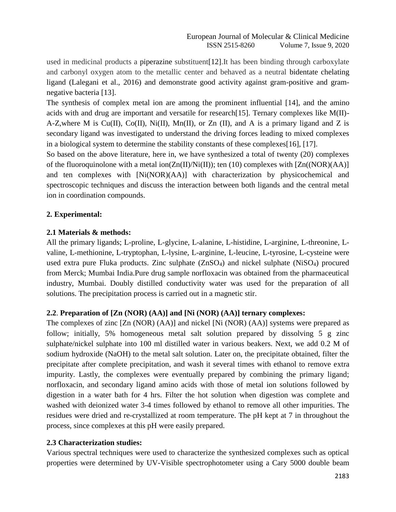used in medicinal products a piperazine substituent[12].It has been binding through carboxylate and carbonyl oxygen atom to the metallic center and behaved as a neutral bidentate chelating ligand (Lalegani et al., 2016) and demonstrate good activity against gram-positive and gramnegative bacteria [13].

The synthesis of complex metal ion are among the prominent influential [14], and the amino acids with and drug are important and versatile for research[15]. Ternary complexes like M(II)- A-Z,where M is Cu(II), Co(II), Ni(II), Mn(II), or Zn (II), and A is a primary ligand and Z is secondary ligand was investigated to understand the driving forces leading to mixed complexes in a biological system to determine the stability constants of these complexes[16], [17].

So based on the above literature, here in, we have synthesized a total of twenty (20) complexes of the fluoroquinolone with a metal ion( $Zn(II)/Ni(II)$ ); ten (10) complexes with  $[Zn((NOR)(AA)]$ and ten complexes with  $[Ni(NOR)(AA)]$  with characterization by physicochemical and spectroscopic techniques and discuss the interaction between both ligands and the central metal ion in coordination compounds.

# **2. Experimental:**

# **2.1 Materials & methods:**

All the primary ligands; L-proline, L-glycine, L-alanine, L-histidine, L-arginine, L-threonine, Lvaline, L-methionine, L-tryptophan, L-lysine, L-arginine, L-leucine, L-tyrosine, L-cysteine were used extra pure Fluka products. Zinc sulphate (ZnSO4) and nickel sulphate (NiSO4) procured from Merck; Mumbai India.Pure drug sample norfloxacin was obtained from the pharmaceutical industry, Mumbai. Doubly distilled conductivity water was used for the preparation of all solutions. The precipitation process is carried out in a magnetic stir.

# **2.2**. **Preparation of [Zn (NOR) (AA)] and [Ni (NOR) (AA)] ternary complexes:**

The complexes of zinc [Zn (NOR) (AA)] and nickel [Ni (NOR) (AA)] systems were prepared as follow; initially, 5% homogeneous metal salt solution prepared by dissolving 5 g zinc sulphate/nickel sulphate into 100 ml distilled water in various beakers. Next, we add 0.2 M of sodium hydroxide (NaOH) to the metal salt solution. Later on, the precipitate obtained, filter the precipitate after complete precipitation, and wash it several times with ethanol to remove extra impurity. Lastly, the complexes were eventually prepared by combining the primary ligand; norfloxacin, and secondary ligand amino acids with those of metal ion solutions followed by digestion in a water bath for 4 hrs. Filter the hot solution when digestion was complete and washed with deionized water 3-4 times followed by ethanol to remove all other impurities. The residues were dried and re-crystallized at room temperature. The pH kept at 7 in throughout the process, since complexes at this pH were easily prepared.

# **2.3 Characterization studies:**

Various spectral techniques were used to characterize the synthesized complexes such as optical properties were determined by UV-Visible spectrophotometer using a Cary 5000 double beam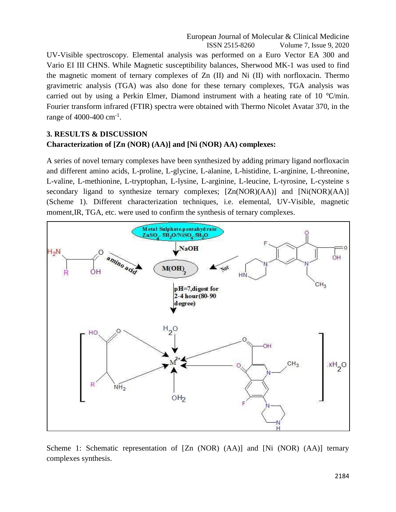UV-Visible spectroscopy. Elemental analysis was performed on a Euro Vector EA 300 and Vario EI III CHNS. While Magnetic susceptibility balances, Sherwood MK-1 was used to find the magnetic moment of ternary complexes of Zn (II) and Ni (II) with norfloxacin. Thermo gravimetric analysis (TGA) was also done for these ternary complexes, TGA analysis was carried out by using a Perkin Elmer, Diamond instrument with a heating rate of 10 ℃/min. Fourier transform infrared (FTIR) spectra were obtained with Thermo Nicolet Avatar 370, in the range of 4000-400 cm<sup>-1</sup>.

# **3. RESULTS & DISCUSSION Characterization of [Zn (NOR) (AA)] and [Ni (NOR) AA) complexes:**

A series of novel ternary complexes have been synthesized by adding primary ligand norfloxacin and different amino acids, L-proline, L-glycine, L-alanine, L-histidine, L-arginine, L-threonine, L-valine, L-methionine, L-tryptophan, L-lysine, L-arginine, L-leucine, L-tyrosine, L-cysteine s secondary ligand to synthesize ternary complexes; [Zn(NOR)(AA)] and [Ni(NOR)(AA)] (Scheme 1). Different characterization techniques, i.e. elemental, UV-Visible, magnetic moment,IR, TGA, etc. were used to confirm the synthesis of ternary complexes.



Scheme 1: Schematic representation of [Zn (NOR) (AA)] and [Ni (NOR) (AA)] ternary complexes synthesis.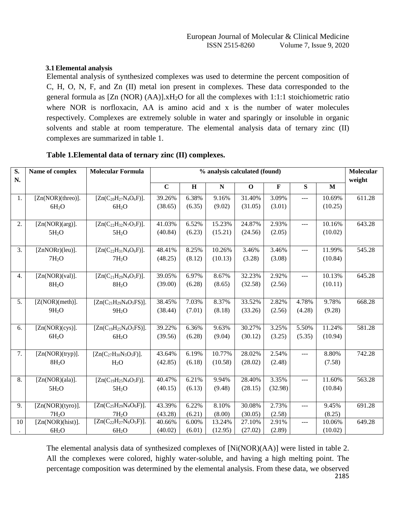#### **3.1Elemental analysis**

Elemental analysis of synthesized complexes was used to determine the percent composition of C, H, O, N, F, and Zn (II) metal ion present in complexes. These data corresponded to the general formula as [Zn (NOR) (AA)].xH2O for all the complexes with 1:1:1 stoichiometric ratio where NOR is norfloxacin, AA is amino acid and x is the number of water molecules respectively. Complexes are extremely soluble in water and sparingly or insoluble in organic solvents and stable at room temperature. The elemental analysis data of ternary zinc (II) complexes are summarized in table 1.

| $\overline{\mathbf{S}}$ .<br>N. | Name of complex    | <b>Molecular Formula</b>      |             | % analysis calculated (found) |             |             |             |                |              | Molecular<br>weight |
|---------------------------------|--------------------|-------------------------------|-------------|-------------------------------|-------------|-------------|-------------|----------------|--------------|---------------------|
|                                 |                    |                               | $\mathbf C$ | H                             | $\mathbf N$ | $\mathbf 0$ | $\mathbf F$ | S              | $\mathbf{M}$ |                     |
| 1.                              | [Zn(NOR)(three)].  | $[Zn(C_{20}H_{27}N_4O_6F)].$  | 39.26%      | 6.38%                         | 9.16%       | 31.40%      | 3.09%       | ---            | 10.69%       | 611.28              |
|                                 | 6H <sub>2</sub> O  | 6H <sub>2</sub> O             | (38.65)     | (6.35)                        | (9.02)      | (31.05)     | (3.01)      |                | (10.25)      |                     |
| 2.                              | [Zn(NOR)(arg)].    | $[Zn(C_{22}H_{32}N_7O_5F)].$  | 41.03%      | 6.52%                         | 15.23%      | 24.87%      | 2.93%       | $\overline{a}$ | 10.16%       | 643.28              |
|                                 | 5H <sub>2</sub> O  | 5H <sub>2</sub> O             | (40.84)     | (6.23)                        | (15.21)     | (24.56)     | (2.05)      |                | (10.02)      |                     |
| $\overline{3}$ .                | [ZnNORr)(leu)].    | $[Zn(C_{22}H_{31}N_4O_6F)].$  | 48.41%      | 8.25%                         | 10.26%      | 3.46%       | 3.46%       | $---$          | 11.99%       | 545.28              |
|                                 | 7H <sub>2</sub> O  | 7H <sub>2</sub> O             | (48.25)     | (8.12)                        | (10.13)     | (3.28)      | (3.08)      |                | (10.84)      |                     |
| 4.                              | [Zn(NOR)(val)].    | $[Zn(C_{21}H_{29}N_4O_5F)].$  | 39.05%      | 6.97%                         | 8.67%       | 32.23%      | 2.92%       | <u></u>        | 10.13%       | 645.28              |
|                                 | 8H <sub>2</sub> O  | 8H <sub>2</sub> O             | (39.00)     | (6.28)                        | (8.65)      | (32.58)     | (2.56)      |                | (10.11)      |                     |
| 5.                              | [Z(NORMAL)(meth)]. | $[Zn(C_{21}H_{29}N_4O_5FS)].$ | 38.45%      | 7.03%                         | 8.37%       | 33.52%      | 2.82%       | 4.78%          | 9.78%        | 668.28              |
|                                 | 9H <sub>2</sub> O  | 9H <sub>2</sub> O             | (38.44)     | (7.01)                        | (8.18)      | (33.26)     | (2.56)      | (4.28)         | (9.28)       |                     |
| 6.                              | [Zn(NOR)(cys)].    | $[Zn(C_{19}H_{25}N_4O_5FS)].$ | 39.22%      | 6.36%                         | 9.63%       | 30.27%      | 3.25%       | 5.50%          | 11.24%       | 581.28              |
|                                 | 6H <sub>2</sub> O  | 6H <sub>2</sub> O             | (39.56)     | (6.28)                        | (9.04)      | (30.12)     | (3.25)      | (5.35)         | (10.94)      |                     |
| 7.                              | [Zn(NOR)(tryp)].   | $[Zn(C_{27}H_{30}N_5O_5F)].$  | 43.64%      | 6.19%                         | 10.77%      | 28.02%      | 2.54%       | <b>___</b>     | 8.80%        | 742.28              |
|                                 | 8H <sub>2</sub> O  | H <sub>2</sub> O              | (42.85)     | (6.18)                        | (10.58)     | (28.02)     | (2.48)      |                | (7.58)       |                     |
| 8.                              | [Zn(NOR)(ala)].    | $[Zn(C_{19}H_{25}N_4O_5F)].$  | 40.47%      | 6.21%                         | 9.94%       | 28.40%      | 3.35%       | $---$          | 11.60%       | 563.28              |
|                                 | 5H <sub>2</sub> O  | 5H <sub>2</sub> O             | (40.15)     | (6.13)                        | (9.48)      | (28.15)     | (32.98)     |                | (10.84)      |                     |
| 9.                              | [Zn(NOR)(tyro)].   | $[Zn(C_{25}H_{29}N_4O_6F)].$  | 43.39%      | 6.22%                         | 8.10%       | 30.08%      | 2.73%       | $---$          | 9.45%        | 691.28              |
|                                 | 7H <sub>2</sub> O  | 7H <sub>2</sub> O             | (43.28)     | (6.21)                        | (8.00)      | (30.05)     | (2.58)      |                | (8.25)       |                     |
| 10                              | [Zn(NOR)(hist)].   | $[Zn(C_{22}H_{27}N_6O_5F)].$  | 40.66%      | 6.00%                         | 13.24%      | 27.10%      | 2.91%       | ---            | 10.06%       | 649.28              |
| $\bullet$                       | 6H <sub>2</sub> O  | 6H <sub>2</sub> O             | (40.02)     | (6.01)                        | (12.95)     | (27.02)     | (2.89)      |                | (10.02)      |                     |

#### **Table 1.Elemental data of ternary zinc (II) complexes.**

2185 The elemental analysis data of synthesized complexes of [Ni(NOR)(AA)] were listed in table 2. All the complexes were colored, highly water-soluble, and having a high melting point. The percentage composition was determined by the elemental analysis. From these data, we observed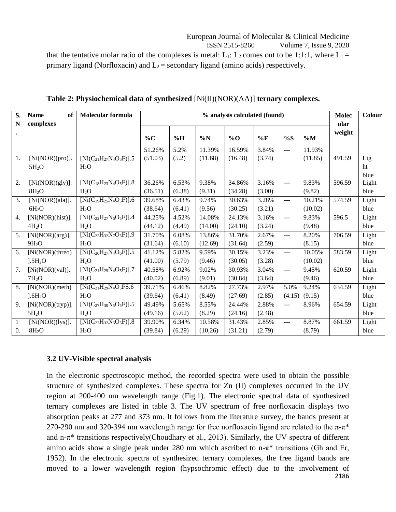#### European Journal of Molecular & Clinical Medicine ISSN 2515-8260 Volume 7, Issue 9, 2020

that the tentative molar ratio of the complexes is metal: L<sub>1</sub>: L<sub>2</sub> comes out to be 1:1:1, where L<sub>1</sub> = primary ligand (Norfloxacin) and  $L_2$  = secondary ligand (amino acids) respectively.

| S.             | <b>Name</b><br>of   | Molecular formula              |         | % analysis calculated (found) |         |         |        |                | <b>Molec</b> | Colour |       |
|----------------|---------------------|--------------------------------|---------|-------------------------------|---------|---------|--------|----------------|--------------|--------|-------|
| N              | complexes           |                                |         |                               |         |         |        |                |              | ular   |       |
|                |                     |                                | $\%C$   | $\%H$                         | $\%N$   | $\%$ O  | %F     | %S             | $\%M$        | weight |       |
|                |                     |                                | 51.26%  | 5.2%                          | 11.39%  | 16.59%  | 3.84%  | ---            | 11.93%       |        |       |
| 1.             | [Ni(NOR)(pro)].     | $[Ni(C_{21}H_{27}N_4O_5F)].5$  | (51.03) | (5.2)                         | (11.68) | (16.48) | (3.74) |                | (11.85)      | 491.59 | Lig   |
|                | 5H <sub>2</sub> O   | $H_2O$                         |         |                               |         |         |        |                |              |        | ht    |
|                |                     |                                |         |                               |         |         |        |                |              |        | blue  |
| 2.             | [Ni(NOR)(gly)].     | $[Ni(C_{18}H_{23}N_4O_5F)].8$  | 36.26%  | 6.53%                         | 9.38%   | 34.86%  | 3.16%  | ---            | 9.83%        | 596.59 | Light |
|                | 8H <sub>2</sub> O   | H <sub>2</sub> O               | (36.51) | (6.38)                        | (9.31)  | (34.28) | (3.00) |                | (9.82)       |        | blue  |
| 3.             | [Ni(NOR)(ala)].     | $[Ni(C_{19}H_{25}N_4O_5F)].6$  | 39.68%  | 6.43%                         | 9.74%   | 30.63%  | 3.28%  | $\overline{a}$ | 10.21%       | 574.59 | Light |
|                | 6H <sub>2</sub> O   | H <sub>2</sub> O               | (38.64) | (6.41)                        | (9.56)  | (30.25) | (3.21) |                | (10.02)      |        | blue  |
| 4.             | [Ni(NORMAL)(hist)]. | $[Ni(C_{22}H_{27}N_6O_5F)].4$  | 44.25%  | 4.52%                         | 14.08%  | 24.13%  | 3.16%  | $---$          | 9.83%        | 596.5  | Light |
|                | 4H <sub>2</sub> O   | H <sub>2</sub> O               | (44.12) | (4.49)                        | (14.00) | (24.10) | (3.24) |                | (9.48)       |        | blue  |
| 5 <sub>1</sub> | [Ni(NOR)(arg)].     | $[Ni(C_{22}H_{32}N_7O_5F)].9$  | 31.70%  | 6.08%                         | 13.86%  | 31.70%  | 2.67%  | $---$          | 8.20%        | 706.59 | Light |
|                | 9H <sub>2</sub> O   | H <sub>2</sub> O               | (31.64) | (6.10)                        | (12.69) | (31.64) | (2.59) |                | (8.15)       |        | blue  |
| 6.             | [Ni(NOR)(threo)     | $[Ni(C_{20}H_{27}N_4O_6F)].5$  | 41.12%  | 5.82%                         | 9.59%   | 30.15%  | 3.23%  | $\overline{a}$ | 10.05%       | 583.59 | Light |
|                | 1.5H <sub>2</sub> O | $H_2O$                         | (41.00) | (5.79)                        | (9.46)  | (30.05) | (3.28) |                | (10.02)      |        | blue  |
| 7.             | [Ni(NOR)(val)].     | $[Ni(C_{21}H_{29}N_4O_5F)]$ .7 | 40.58%  | 6.92%                         | 9.02%   | 30.93%  | 3.04%  | $\frac{1}{2}$  | 9.45%        | 620.59 | Light |
|                | 7H <sub>2</sub> O   | $H_2O$                         | (40.02) | (6.89)                        | (9.01)  | (30.84) | (3.64) |                | (9.46)       |        | blue  |
| 8.             | [Ni(NOR)(meth)      | $[Ni(C_{21}H_{29}N_4O_5FS.6$   | 39.71%  | 6.46%                         | 8.82%   | 27.73%  | 2.97%  | 5.0%           | 9.24%        | 634.59 | Light |
|                | 1.6H <sub>2</sub> O | H <sub>2</sub> O               | (39.64) | (6.41)                        | (8.49)  | (27.69) | (2.85) | (4.15)         | (9.15)       |        | blue  |
| 9.             | [Ni(NORMAL)(tryp)]. | $[Ni(C_{27}H_{30}N_5O_5F)].5$  | 49.49%  | 5.65%                         | 8.55%   | 24.44%  | 2.88%  | ---            | 8.96%        | 654.59 | Light |
|                | 5H <sub>2</sub> O   | H <sub>2</sub> O               | (49.16) | (5.62)                        | (8.29)  | (24.16) | (2.48) |                |              |        | blue  |
| 1              | [Ni(NOR)(lys)].     | $[Ni(C_{22}H_{32}N_5O_5F)].8$  | 39.90%  | 6.34%                         | 10.58%  | 31.43%  | 2.85%  | $---$          | 8.87%        | 661.59 | Light |
| 0.             | 8H <sub>2</sub> O   | H <sub>2</sub> O               | (39.84) | (6.29)                        | (10,26) | (31.21) | (2.79) |                | (8.79)       |        | blue  |

**Table 2: Physiochemical data of synthesized** [Ni(II)(NOR)(AA)] **ternary complexes.**

#### **3.2 UV-Visible spectral analysis**

2186 In the electronic spectroscopic method, the recorded spectra were used to obtain the possible structure of synthesized complexes. These spectra for Zn (II) complexes occurred in the UV region at 200-400 nm wavelength range (Fig.1). The electronic spectral data of synthesized ternary complexes are listed in table 3. The UV spectrum of free norfloxacin displays two absorption peaks at 277 and 373 nm. It follows from the literature survey, the bands present at 270-290 nm and 320-394 nm wavelength range for free norfloxacin ligand are related to the  $\pi$ - $\pi$ <sup>\*</sup> and n-π\* transitions respectively(Choudhary et al., 2013). Similarly, the UV spectra of different amino acids show a single peak under 280 nm which ascribed to  $n-\pi^*$  transitions (Gh and Er, 1952). In the electronic spectra of synthesized ternary complexes, the free ligand bands are moved to a lower wavelength region (hypsochromic effect) due to the involvement of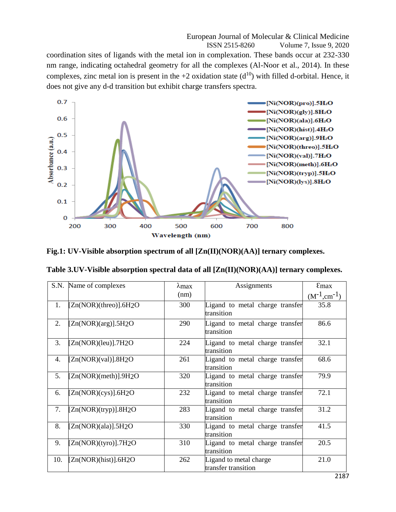European Journal of Molecular & Clinical Medicine ISSN 2515-8260 Volume 7, Issue 9, 2020 coordination sites of ligands with the metal ion in complexation. These bands occur at 232-330 nm range, indicating octahedral geometry for all the complexes (Al-Noor et al., 2014). In these complexes, zinc metal ion is present in the +2 oxidation state  $(d^{10})$  with filled d-orbital. Hence, it does not give any d-d transition but exhibit charge transfers spectra.



**Fig.1: UV-Visible absorption spectrum of all [Zn(II)(NOR)(AA)] ternary complexes.**

| Table 3.UV-Visible absorption spectral data of all [Zn(II)(NOR)(AA)] ternary complexes. |  |  |
|-----------------------------------------------------------------------------------------|--|--|
|                                                                                         |  |  |

|     | S.N. Name of complexes | $\lambda$ max | Assignments                                   | $E$ max             |
|-----|------------------------|---------------|-----------------------------------------------|---------------------|
|     |                        | (nm)          |                                               | $(M^{-1}, cm^{-1})$ |
| 1.  | [Zn(NOR)(three)].6H2O  | 300           | Ligand to metal charge transfer<br>transition | 35.8                |
| 2.  | [Zn(NOR)(arg)].5H2O    | 290           | Ligand to metal charge transfer<br>transition | 86.6                |
| 3.  | $[Zn(non)(leu)]$ .7H2O | 224           | Ligand to metal charge transfer<br>transition | 32.1                |
| 4.  | [Zn(NOR)(val)].8H2O    | 261           | Ligand to metal charge transfer<br>transition | 68.6                |
| 5.  | [Zn(NOR)(meth)].9H2O   | 320           | Ligand to metal charge transfer<br>transition | 79.9                |
| 6.  | [Zn(NOR)(cys)].6H2O    | 232           | Ligand to metal charge transfer<br>transition | 72.1                |
| 7.  | [Zn(NOR)(tryp)].8H2O   | 283           | Ligand to metal charge transfer<br>transition | 31.2                |
| 8.  | [Zn(NOR)(ala)].5H2O    | 330           | Ligand to metal charge transfer<br>transition | 41.5                |
| 9.  | [Zn(NOR)(type)].7H2O   | 310           | Ligand to metal charge transfer<br>transition | 20.5                |
| 10. | [Zn(NOR)(hist)].6H2O   | 262           | Ligand to metal charge<br>transfer transition | 21.0                |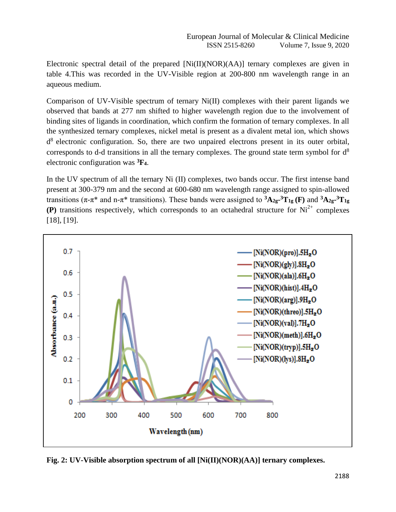Electronic spectral detail of the prepared  $[Ni(II)(NOR)(AA)]$  ternary complexes are given in table 4.This was recorded in the UV-Visible region at 200-800 nm wavelength range in an aqueous medium.

Comparison of UV-Visible spectrum of ternary Ni(II) complexes with their parent ligands we observed that bands at 277 nm shifted to higher wavelength region due to the involvement of binding sites of ligands in coordination, which confirm the formation of ternary complexes. In all the synthesized ternary complexes, nickel metal is present as a divalent metal ion, which shows  $d<sup>8</sup>$  electronic configuration. So, there are two unpaired electrons present in its outer orbital, corresponds to d-d transitions in all the ternary complexes. The ground state term symbol for  $d^8$ electronic configuration was **<sup>3</sup>F4**.

In the UV spectrum of all the ternary Ni (II) complexes, two bands occur. The first intense band present at 300-379 nm and the second at 600-680 nm wavelength range assigned to spin-allowed transitions (π-π\* and n-π\* transitions). These bands were assigned to **<sup>3</sup>A2g-<sup>3</sup>T1g (F)** and **<sup>3</sup>A2g-<sup>3</sup>T1g (P)** transitions respectively, which corresponds to an octahedral structure for  $Ni^{2+}$  complexes [18], [19].



**Fig. 2: UV-Visible absorption spectrum of all [Ni(II)(NOR)(AA)] ternary complexes.**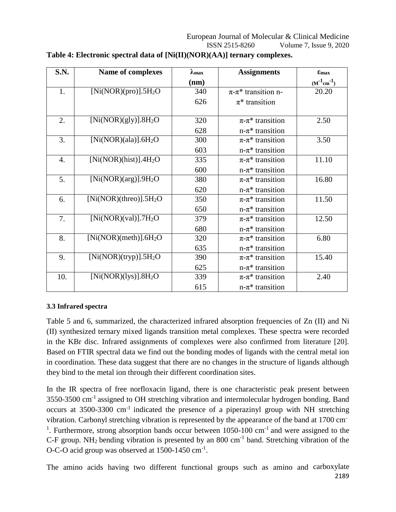| S.N. | Name of complexes                                                    | $\lambda_{\max}$ | <b>Assignments</b>                       | $E_{\text{max}}$  |
|------|----------------------------------------------------------------------|------------------|------------------------------------------|-------------------|
|      |                                                                      | (nm)             |                                          | $(M^{-1}cm^{-1})$ |
| 1.   | [ $Ni(NOR)(pro)$ ].5H <sub>2</sub> O                                 | 340              | $\pi$ - $\pi$ <sup>*</sup> transition n- | 20.20             |
|      |                                                                      | 626              | $\pi^*$ transition                       |                   |
|      |                                                                      |                  |                                          |                   |
| 2.   | [Ni(NOR)(gly)].8H <sub>2</sub> O                                     | 320              | $\pi$ - $\pi$ <sup>*</sup> transition    | 2.50              |
|      |                                                                      | 628              | $n-\pi^*$ transition                     |                   |
| 3.   | [Ni(NOR)(ala)]. $6H2O$                                               | 300              | $\pi$ - $\pi$ <sup>*</sup> transition    | 3.50              |
|      |                                                                      | 603              | $n-\pi^*$ transition                     |                   |
| 4.   | [Ni(NOR)(hist)].4H <sub>2</sub> O                                    | 335              | $\pi$ - $\pi$ <sup>*</sup> transition    | 11.10             |
|      |                                                                      | 600              | $n-\pi^*$ transition                     |                   |
| 5.   | [Ni(non)(arg)].9H <sub>2</sub> O                                     | 380              | $\pi$ - $\pi$ <sup>*</sup> transition    | 16.80             |
|      |                                                                      | 620              | $n-\pi^*$ transition                     |                   |
| 6.   | [Ni(NOR)(three)].5H <sub>2</sub> O                                   | 350              | $\pi$ - $\pi$ <sup>*</sup> transition    | 11.50             |
|      |                                                                      | 650              | $n-\pi^*$ transition                     |                   |
| 7.   | $[Ni(NOR)(val)]$ .7H <sub>2</sub> O                                  | 379              | $\pi$ - $\pi$ <sup>*</sup> transition    | 12.50             |
|      |                                                                      | 680              | $n-\pi^*$ transition                     |                   |
| 8.   | [Ni(NOR)(meth)].6H <sub>2</sub> O                                    | 320              | $\pi$ - $\pi$ <sup>*</sup> transition    | 6.80              |
|      |                                                                      | 635              | $n-\pi^*$ transition                     |                   |
| 9.   | $\overline{\text{[Ni}(\text{NOR})(\text{tryp})]}$ .5H <sub>2</sub> O | 390              | $\pi$ - $\pi$ <sup>*</sup> transition    | 15.40             |
|      |                                                                      | 625              | $n-\pi^*$ transition                     |                   |
| 10.  | [Ni(NOR)(lys)].8H <sub>2</sub> O                                     | 339              | $\pi$ - $\pi$ <sup>*</sup> transition    | 2.40              |
|      |                                                                      | 615              | $n-\pi^*$ transition                     |                   |

# **Table 4: Electronic spectral data of [Ni(II)(NOR)(AA)] ternary complexes.**

#### **3.3 Infrared spectra**

Table 5 and 6, summarized, the characterized infrared absorption frequencies of Zn (II) and Ni (II) synthesized ternary mixed ligands transition metal complexes. These spectra were recorded in the KBr disc. Infrared assignments of complexes were also confirmed from literature [20]. Based on FTIR spectral data we find out the bonding modes of ligands with the central metal ion in coordination. These data suggest that there are no changes in the structure of ligands although they bind to the metal ion through their different coordination sites.

In the IR spectra of free norfloxacin ligand, there is one characteristic peak present between 3550-3500 cm-1 assigned to OH stretching vibration and intermolecular hydrogen bonding. Band occurs at  $3500-3300$  cm<sup>-1</sup> indicated the presence of a piperazinyl group with NH stretching vibration. Carbonyl stretching vibration is represented by the appearance of the band at 1700 cm-<sup>1</sup>. Furthermore, strong absorption bands occur between 1050-100 cm<sup>-1</sup> and were assigned to the C-F group. NH<sub>2</sub> bending vibration is presented by an 800 cm<sup>-1</sup> band. Stretching vibration of the O-C-O acid group was observed at 1500-1450 cm<sup>-1</sup>.

2189 The amino acids having two different functional groups such as amino and carboxylate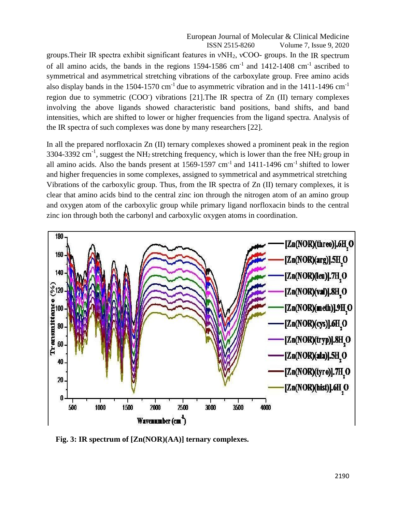European Journal of Molecular & Clinical Medicine ISSN 2515-8260 Volume 7, Issue 9, 2020

groups.Their IR spectra exhibit significant features in νNH2, νCOO- groups. In the IR spectrum of all amino acids, the bands in the regions  $1594-1586$  cm<sup>-1</sup> and  $1412-1408$  cm<sup>-1</sup> ascribed to symmetrical and asymmetrical stretching vibrations of the carboxylate group. Free amino acids also display bands in the 1504-1570 cm<sup>-1</sup> due to asymmetric vibration and in the 1411-1496 cm<sup>-1</sup> region due to symmetric (COO<sup>-</sup>) vibrations [21]. The IR spectra of Zn (II) ternary complexes involving the above ligands showed characteristic band positions, band shifts, and band intensities, which are shifted to lower or higher frequencies from the ligand spectra. Analysis of the IR spectra of such complexes was done by many researchers [22].

In all the prepared norfloxacin Zn (II) ternary complexes showed a prominent peak in the region 3304-3392 cm<sup>-1</sup>, suggest the NH<sub>2</sub> stretching frequency, which is lower than the free NH<sub>2</sub> group in all amino acids. Also the bands present at  $1569-1597$  cm<sup>-1</sup> and  $1411-1496$  cm<sup>-1</sup> shifted to lower and higher frequencies in some complexes, assigned to symmetrical and asymmetrical stretching Vibrations of the carboxylic group. Thus, from the IR spectra of Zn (II) ternary complexes, it is clear that amino acids bind to the central zinc ion through the nitrogen atom of an amino group and oxygen atom of the carboxylic group while primary ligand norfloxacin binds to the central zinc ion through both the carbonyl and carboxylic oxygen atoms in coordination.



**Fig. 3: IR spectrum of [Zn(NOR)(AA)] ternary complexes.**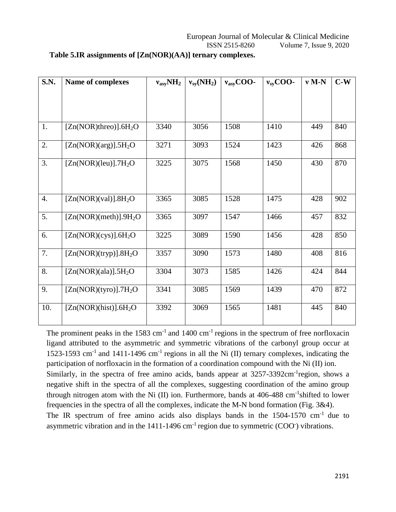| <b>S.N.</b>      | Name of complexes                    | $v_{asy}NH_2$ | $v_{sv}(NH_2)$ | $v_{asy}$ COO- | $v_{sy}$ COO- | $v$ M-N | $C-W$ |
|------------------|--------------------------------------|---------------|----------------|----------------|---------------|---------|-------|
|                  |                                      |               |                |                |               |         |       |
|                  |                                      |               |                |                |               |         |       |
|                  |                                      |               |                |                |               |         |       |
| 1.               | $[Zn(NOR)$ threo)].6H <sub>2</sub> O | 3340          | 3056           | 1508           | 1410          | 449     | 840   |
|                  |                                      |               |                |                |               |         |       |
| 2.               | $[Zn(NOR)(arg)].5H_2O$               | 3271          | 3093           | 1524           | 1423          | 426     | 868   |
|                  |                                      |               |                |                |               |         |       |
| 3.               | $[Zn(NOR)(leu)]$ .7H <sub>2</sub> O  | 3225          | 3075           | 1568           | 1450          | 430     | 870   |
|                  |                                      |               |                |                |               |         |       |
|                  |                                      |               |                |                |               |         |       |
| $\overline{4}$ . | $[Zn(NOR)(val)]$ .8H <sub>2</sub> O  | 3365          | 3085           | 1528           | 1475          | 428     | 902   |
|                  |                                      |               |                |                |               |         |       |
| 5.               | [Zn(NOR)(meth)].9H <sub>2</sub> O    | 3365          | 3097           | 1547           | 1466          | 457     | 832   |
|                  |                                      |               |                |                |               |         |       |
| 6.               | [Zn(NOR)(cys)].6H <sub>2</sub> O     | 3225          | 3089           | 1590           | 1456          | 428     | 850   |
|                  |                                      |               |                |                |               |         |       |
| 7.               | [Zn(NOR)(tryp)].8H <sub>2</sub> O    | 3357          | 3090           | 1573           | 1480          | 408     | 816   |
| 8.               | [Zn(NOR)(ala)].5H <sub>2</sub> O     | 3304          | 3073           | 1585           | 1426          | 424     | 844   |
|                  |                                      |               |                |                |               |         |       |
| 9.               | $[Zn(NOR)(type)]$ .7H <sub>2</sub> O | 3341          | 3085           | 1569           | 1439          | 470     | 872   |
|                  |                                      |               |                |                |               |         |       |
| 10.              | [Zn(NOR)(hist)].6H <sub>2</sub> O    | 3392          | 3069           | 1565           | 1481          | 445     | 840   |
|                  |                                      |               |                |                |               |         |       |

# **Table 5.IR assignments of [Zn(NOR)(AA)] ternary complexes.**

The prominent peaks in the 1583 cm<sup>-1</sup> and 1400 cm<sup>-1</sup> regions in the spectrum of free norfloxacin ligand attributed to the asymmetric and symmetric vibrations of the carbonyl group occur at 1523-1593 cm<sup>-1</sup> and 1411-1496 cm<sup>-1</sup> regions in all the Ni (II) ternary complexes, indicating the participation of norfloxacin in the formation of a coordination compound with the Ni (II) ion. Similarly, in the spectra of free amino acids, bands appear at 3257-3392cm<sup>-1</sup>region, shows a negative shift in the spectra of all the complexes, suggesting coordination of the amino group through nitrogen atom with the Ni (II) ion. Furthermore, bands at  $406-488$  cm<sup>-1</sup>shifted to lower frequencies in the spectra of all the complexes, indicate the M-N bond formation (Fig. 3&4). The IR spectrum of free amino acids also displays bands in the  $1504-1570$  cm<sup>-1</sup> due to asymmetric vibration and in the  $1411-1496$  cm<sup>-1</sup> region due to symmetric (COO<sup>-</sup>) vibrations.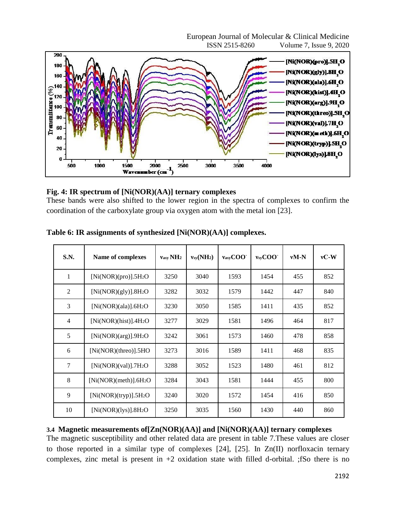European Journal of Molecular & Clinical Medicine ISSN 2515-8260 Volume 7, Issue 9, 2020



### **Fig. 4: IR spectrum of [Ni(NOR)(AA)] ternary complexes**

These bands were also shifted to the lower region in the spectra of complexes to confirm the coordination of the carboxylate group via oxygen atom with the metal ion [23].

| S.N.           | Name of complexes                   | $v_{\rm asv}$ NH <sub>2</sub> | $v_{sy}(NH_2)$ | vasyCOO | vsyCOO | $vM-N$ | $vC-W$ |
|----------------|-------------------------------------|-------------------------------|----------------|---------|--------|--------|--------|
| $\mathbf{1}$   | [Ni(NOR)(pro)].5H <sub>2</sub> O    | 3250                          | 3040           | 1593    | 1454   | 455    | 852    |
| $\overline{2}$ | [Ni(non)(gly)].8H <sub>2</sub> O    | 3282                          | 3032           | 1579    | 1442   | 447    | 840    |
| 3              | [Ni(NOR)(ala)].6H <sub>2</sub> O    | 3230                          | 3050           | 1585    | 1411   | 435    | 852    |
| $\overline{4}$ | [Ni(NOR)(hist)].4H <sub>2</sub> O   | 3277                          | 3029           | 1581    | 1496   | 464    | 817    |
| 5              | [Ni(NOR)(arg)].9H <sub>2</sub> O    | 3242                          | 3061           | 1573    | 1460   | 478    | 858    |
| 6              | [Ni(NORMAL)(three)].5HO             | 3273                          | 3016           | 1589    | 1411   | 468    | 835    |
| 7              | $[Ni(NOR)(val)]$ .7H <sub>2</sub> O | 3288                          | 3052           | 1523    | 1480   | 461    | 812    |
| 8              | [Ni(NOR)(meth)].6H <sub>2</sub> O   | 3284                          | 3043           | 1581    | 1444   | 455    | 800    |
| 9              | $[Ni(NOR)(tryp)].5H_2O$             | 3240                          | 3020           | 1572    | 1454   | 416    | 850    |
| 10             | [Ni(non(lys)].8H <sub>2</sub> O]    | 3250                          | 3035           | 1560    | 1430   | 440    | 860    |

**Table 6: IR assignments of synthesized [Ni(NOR)(AA)] complexes.**

# **3.4 Magnetic measurements of[Zn(NOR)(AA)] and [Ni(NOR)(AA)] ternary complexes**

The magnetic susceptibility and other related data are present in table 7.These values are closer to those reported in a similar type of complexes [24], [25]. In Zn(II) norfloxacin ternary complexes, zinc metal is present in  $+2$  oxidation state with filled d-orbital. ; fSo there is no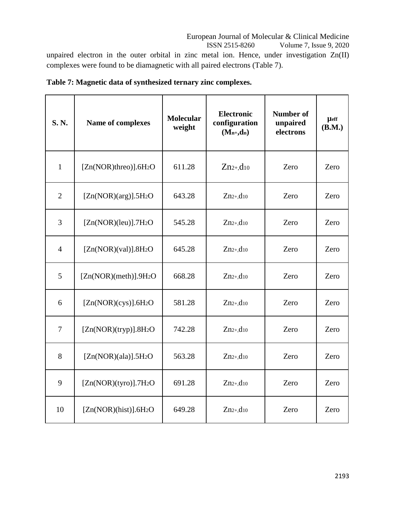# European Journal of Molecular & Clinical Medicine

ISSN 2515-8260 Volume 7, Issue 9, 2020

unpaired electron in the outer orbital in zinc metal ion. Hence, under investigation Zn(II) complexes were found to be diamagnetic with all paired electrons (Table 7).

| S.N.           | Name of complexes                    | <b>Molecular</b><br>weight | <b>Electronic</b><br>configuration<br>$(M_{n+},d_n)$ | <b>Number of</b><br>unpaired<br>electrons | $\mu$ eff<br>(B.M.) |
|----------------|--------------------------------------|----------------------------|------------------------------------------------------|-------------------------------------------|---------------------|
| $\mathbf{1}$   | $[Zn(NOR)$ threo)].6H <sub>2</sub> O | 611.28                     | $Zn_{2+},d_{10}$                                     | Zero                                      | Zero                |
| $\overline{2}$ | $[Zn(NOR)(arg)].5H_2O$               | 643.28                     | $Zn2+10$                                             | Zero                                      | Zero                |
| $\overline{3}$ | $[Zn(NOR)(leu)]$ .7H <sub>2</sub> O  | 545.28                     | $Zn2+,d10$                                           | Zero                                      | Zero                |
| $\overline{4}$ | $[Zn(NOR)(val)]$ .8H <sub>2</sub> O  | 645.28                     | $Zn_{2+},d_{10}$                                     | Zero                                      | Zero                |
| 5              | [Zn(NOR)(meth)].9H <sub>2</sub> O    | 668.28                     | $Zn_{2+},d_{10}$                                     | Zero                                      | Zero                |
| 6              | [Zn(NOR)(cys)].6H <sub>2</sub> O     | 581.28                     | $Zn_{2+},d_{10}$                                     | Zero                                      | Zero                |
| $\overline{7}$ | $[Zn(NOR)(tryp)]$ .8H <sub>2</sub> O | 742.28                     | $Zn_{2+},d_{10}$                                     | Zero                                      | Zero                |
| 8              | $[Zn(NOR)(ala)]$ .5H <sub>2</sub> O  | 563.28                     | $Zn_{2+},d_{10}$                                     | Zero                                      | Zero                |
| 9              | $[Zn(NOR)(tyro)]$ .7H <sub>2</sub> O | 691.28                     | $Zn2+,d10$                                           | Zero                                      | Zero                |
| 10             | [Zn(NOR)(hist)].6H <sub>2</sub> O    | 649.28                     | $Zn_{2+},d_{10}$                                     | Zero                                      | Zero                |

# **Table 7: Magnetic data of synthesized ternary zinc complexes.**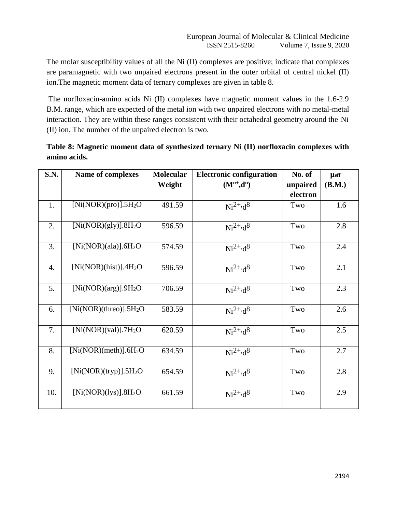The molar susceptibility values of all the Ni (II) complexes are positive; indicate that complexes are paramagnetic with two unpaired electrons present in the outer orbital of central nickel (II) ion.The magnetic moment data of ternary complexes are given in table 8.

The norfloxacin-amino acids Ni (II) complexes have magnetic moment values in the 1.6-2.9 B.M. range, which are expected of the metal ion with two unpaired electrons with no metal-metal interaction. They are within these ranges consistent with their octahedral geometry around the Ni (II) ion. The number of the unpaired electron is two.

| Table 8: Magnetic moment data of synthesized ternary Ni (II) norfloxacin complexes with |  |
|-----------------------------------------------------------------------------------------|--|
| amino acids.                                                                            |  |

| <b>S.N.</b> | <b>Name of complexes</b>                                            | Molecular | <b>Electronic configuration</b> | No. of   | <b>µ</b> eff |
|-------------|---------------------------------------------------------------------|-----------|---------------------------------|----------|--------------|
|             |                                                                     | Weight    | $(M^{n+},d^n)$                  | unpaired | (B.M.)       |
|             |                                                                     |           |                                 | electron |              |
| 1.          | [Ni(NOR)(pro)].5H <sub>2</sub> O                                    | 491.59    | $Ni^{2+,d}$ <sup>8</sup>        | Two      | 1.6          |
| 2.          | [Ni(non)(gly)].8H <sub>2</sub> O                                    | 596.59    | $Ni^{2+,d}$                     | Two      | 2.8          |
| 3.          | [Ni(non)(ala)].6H <sub>2</sub> O                                    | 574.59    | $Ni^{2+,d}$                     | Two      | 2.4          |
| 4.          | [Ni(NOR)(hist)].4H <sub>2</sub> O                                   | 596.59    | $Ni^{2+,d}$                     | Two      | 2.1          |
| 5.          | $\overline{\text{[Ni}(\text{NOR})(\text{arg})}$ ].9H <sub>2</sub> O | 706.59    | $Ni^{2+,d}$ <sup>8</sup>        | Two      | 2.3          |
| 6.          | [Ni(NOR)(three)].5H <sub>2</sub> O                                  | 583.59    | $Ni^{2+,d}$ <sup>8</sup>        | Two      | 2.6          |
| 7.          | $[Ni(NOR)(val)]$ .7H <sub>2</sub> O                                 | 620.59    | $Ni^{2+,d}$ <sup>8</sup>        | Two      | 2.5          |
| 8.          | [Ni(NORMAL)(meth)].6H <sub>2</sub> O                                | 634.59    | $Ni^{2+,d}$                     | Two      | 2.7          |
| 9.          | [Ni(NOR)(tryp)].5H <sub>2</sub> O                                   | 654.59    | $Ni^{2+,d}$ <sup>8</sup>        | Two      | 2.8          |
| 10.         | [Ni(NOR)(lys)].8H <sub>2</sub> O                                    | 661.59    | $Ni^{2+,d}$                     | Two      | 2.9          |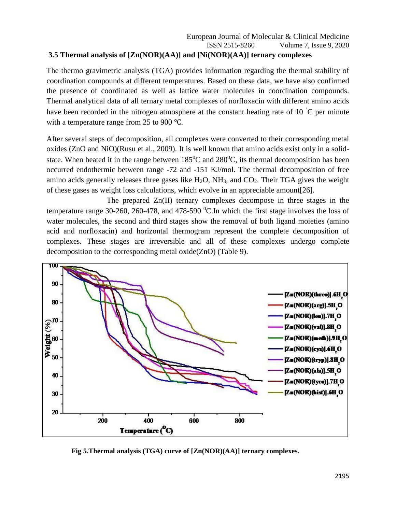# **3.5 Thermal analysis of [Zn(NOR)(AA)] and [Ni(NOR)(AA)] ternary complexes**

The thermo gravimetric analysis (TGA) provides information regarding the thermal stability of coordination compounds at different temperatures. Based on these data, we have also confirmed the presence of coordinated as well as lattice water molecules in coordination compounds. Thermal analytical data of all ternary metal complexes of norfloxacin with different amino acids have been recorded in the nitrogen atmosphere at the constant heating rate of 10  $\degree$ C per minute with a temperature range from 25 to 900 ℃.

After several steps of decomposition, all complexes were converted to their corresponding metal oxides (ZnO and NiO)(Rusu et al., 2009). It is well known that amino acids exist only in a solidstate. When heated it in the range between  $185^{\circ}$ C and  $280^{\circ}$ C, its thermal decomposition has been occurred endothermic between range -72 and -151 KJ/mol. The thermal decomposition of free amino acids generally releases three gases like  $H_2O$ ,  $NH_3$ , and  $CO_2$ . Their TGA gives the weight of these gases as weight loss calculations, which evolve in an appreciable amount[26].

The prepared Zn(II) ternary complexes decompose in three stages in the temperature range 30-260, 260-478, and 478-590  $^{\circ}$ C. In which the first stage involves the loss of water molecules, the second and third stages show the removal of both ligand moieties (amino acid and norfloxacin) and horizontal thermogram represent the complete decomposition of complexes. These stages are irreversible and all of these complexes undergo complete decomposition to the corresponding metal oxide(ZnO) (Table 9).



 **Fig 5.Thermal analysis (TGA) curve of [Zn(NOR)(AA)] ternary complexes.**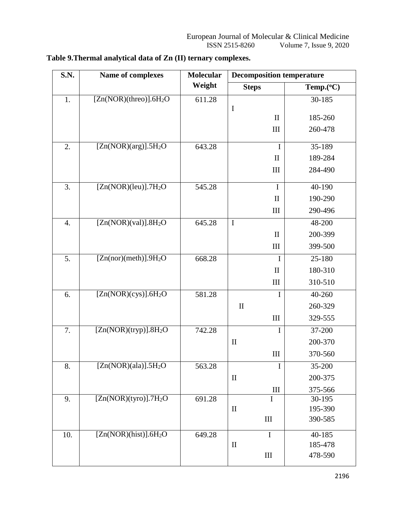| <b>S.N.</b>      | Name of complexes                   | Molecular | <b>Decomposition temperature</b> |           |
|------------------|-------------------------------------|-----------|----------------------------------|-----------|
|                  |                                     | Weight    | <b>Steps</b>                     | Temp.(°C) |
| 1.               | [Zn(NOR)(three)].6H <sub>2</sub> O  | 611.28    |                                  | 30-185    |
|                  |                                     |           | $\mathbf I$<br>$\mathbf{I}$      | 185-260   |
|                  |                                     |           |                                  |           |
|                  |                                     |           | $\mathop{\rm III}$               | 260-478   |
| 2.               | [Zn(NOR)(arg)].5H <sub>2</sub> O    | 643.28    | $\bf{I}$                         | 35-189    |
|                  |                                     |           | $\mathbf{I}$                     | 189-284   |
|                  |                                     |           | III                              | 284-490   |
| 3.               | $[Zn(NOR)(leu)]$ .7H <sub>2</sub> O | 545.28    | $\mathbf I$                      | 40-190    |
|                  |                                     |           | $\mathbf{I}$                     | 190-290   |
|                  |                                     |           | $\mathop{\rm III}$               | 290-496   |
| $\overline{4}$ . | $[Zn(NOR)(val)]$ .8H <sub>2</sub> O | 645.28    | $\bf I$                          | 48-200    |
|                  |                                     |           | $\mathbf{I}$                     | 200-399   |
|                  |                                     |           | III                              | 399-500   |
| 5.               | [Zn(nor)(meth)].9H <sub>2</sub> O   | 668.28    | $\bf{I}$                         | 25-180    |
|                  |                                     |           | $\mathbf{I}$                     | 180-310   |
|                  |                                     |           | $\rm III$                        | 310-510   |
| 6.               | [Zn(NOR)(cys)].6H <sub>2</sub> O    | 581.28    | $\mathbf I$                      | 40-260    |
|                  |                                     |           | $\mathbf{I}$                     | 260-329   |
|                  |                                     |           | $\mathop{\rm III}$               | 329-555   |
| 7.               | [Zn(NOR)(tryp)].8H <sub>2</sub> O   | 742.28    | $\bf{I}$                         | 37-200    |
|                  |                                     |           | $\mathbf{I}$                     | 200-370   |
|                  |                                     |           | III                              | 370-560   |
| 8.               | $[Zn(NOR)(ala)]$ .5H <sub>2</sub> O | 563.28    | I                                | 35-200    |
|                  |                                     |           | $\mathbf{I}$                     | 200-375   |
|                  |                                     |           | Ш                                | 375-566   |
| 9.               | $[Zn(NOR)(type)].7H_2O$             | 691.28    | $\mathbf I$                      | 30-195    |
|                  |                                     |           | $\mathbf{I}$                     | 195-390   |
|                  |                                     |           | III                              | 390-585   |
| 10.              | [Zn(NOR)(hist)].6H <sub>2</sub> O   | 649.28    | $\overline{I}$                   | 40-185    |
|                  |                                     |           | $\rm II$                         | 185-478   |
|                  |                                     |           | III                              | 478-590   |

# **Table 9.Thermal analytical data of Zn (II) ternary complexes.**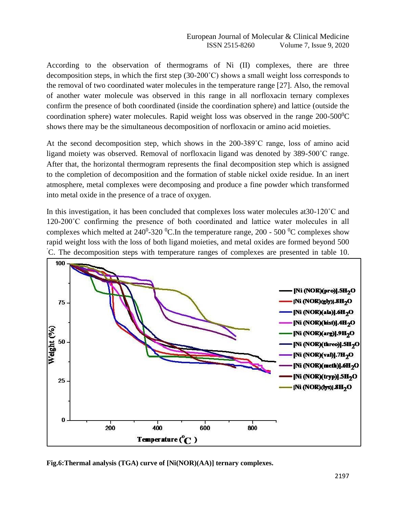According to the observation of thermograms of Ni (II) complexes, there are three decomposition steps, in which the first step (30-200˚C) shows a small weight loss corresponds to the removal of two coordinated water molecules in the temperature range [27]. Also, the removal of another water molecule was observed in this range in all norfloxacin ternary complexes confirm the presence of both coordinated (inside the coordination sphere) and lattice (outside the coordination sphere) water molecules. Rapid weight loss was observed in the range  $200-500^{\circ}$ C shows there may be the simultaneous decomposition of norfloxacin or amino acid moieties.

At the second decomposition step, which shows in the 200-389˚C range, loss of amino acid ligand moiety was observed. Removal of norfloxacin ligand was denoted by 389-500˚C range. After that, the horizontal thermogram represents the final decomposition step which is assigned to the completion of decomposition and the formation of stable nickel oxide residue. In an inert atmosphere, metal complexes were decomposing and produce a fine powder which transformed into metal oxide in the presence of a trace of oxygen.

In this investigation, it has been concluded that complexes loss water molecules at30-120˚C and 120-200˚C confirming the presence of both coordinated and lattice water molecules in all complexes which melted at  $240^0$ -320 <sup>0</sup>C. In the temperature range, 200 - 500 <sup>0</sup>C complexes show rapid weight loss with the loss of both ligand moieties, and metal oxides are formed beyond 500 ˚C. The decomposition steps with temperature ranges of complexes are presented in table 10.



**Fig.6:Thermal analysis (TGA) curve of [Ni(NOR)(AA)] ternary complexes.**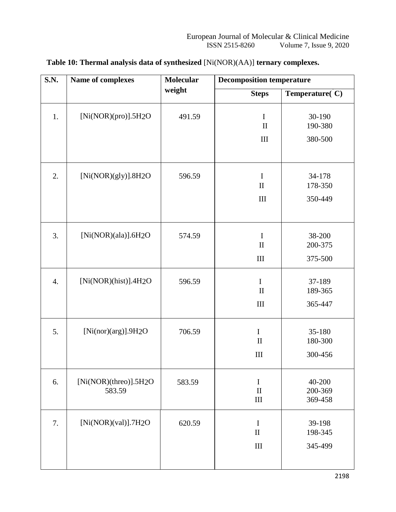| S.N.             | Name of complexes               | <b>Molecular</b> | <b>Decomposition temperature</b>              |                              |  |  |
|------------------|---------------------------------|------------------|-----------------------------------------------|------------------------------|--|--|
|                  |                                 | weight           | <b>Steps</b>                                  | Temperature(C)               |  |  |
| 1.               | [Ni(NOR)(pro)].5H2O             | 491.59           | $\mathbf I$<br>$\rm II$                       | 30-190<br>190-380            |  |  |
|                  |                                 |                  | $\rm III$                                     | 380-500                      |  |  |
| 2.               | [Ni(non)(gly)].8H2O             | 596.59           | $\mathbf I$<br>$\mathbf{I}$                   | 34-178<br>178-350            |  |  |
|                  |                                 |                  | $\mathop{\rm III}\nolimits$                   | 350-449                      |  |  |
| 3.               | [Ni(NOR)(ala)].6H2O             | 574.59           | $\mathbf I$<br>$\mathbf{I}$                   | 38-200<br>200-375            |  |  |
|                  |                                 |                  | $\rm III$                                     | 375-500                      |  |  |
| $\overline{4}$ . | [Ni(non)(hist)].4H2O            | 596.59           | $\mathbf I$<br>$\mathbf{I}$                   | 37-189<br>189-365            |  |  |
|                  |                                 |                  | $\rm III$                                     | 365-447                      |  |  |
| 5.               | [Ni(nor)(arg)].9H2O             | 706.59           | $\bf I$<br>$\mathbf{I}$                       | 35-180<br>180-300            |  |  |
|                  |                                 |                  | III                                           | 300-456                      |  |  |
| 6.               | [Ni(NOR)(threo)].5H2O<br>583.59 | 583.59           | $\bf I$<br>$\mathbf{I}$<br>$\mathop{\rm III}$ | 40-200<br>200-369<br>369-458 |  |  |
| 7.               | $[Ni(non)(val)]$ .7H2O          | 620.59           | $\mathbf I$<br>$\rm II$                       | 39-198<br>198-345            |  |  |
|                  |                                 |                  | $\mathop{\rm III}\nolimits$                   | 345-499                      |  |  |
|                  |                                 |                  |                                               |                              |  |  |

# **Table 10: Thermal analysis data of synthesized** [Ni(NOR)(AA)] **ternary complexes.**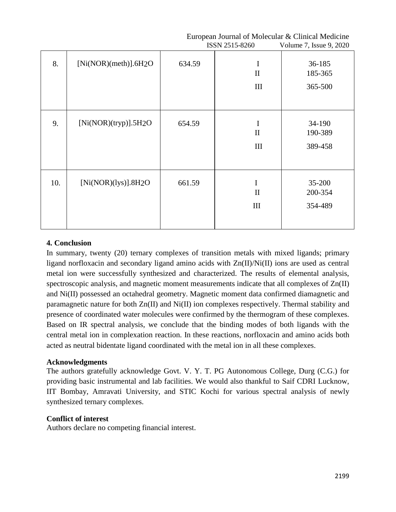|     |                                     |        | ISSN 2515-8260                           | Volume 7, Issue 9, 2020      |
|-----|-------------------------------------|--------|------------------------------------------|------------------------------|
| 8.  | [Ni(NORMAL)(meth)].6H2O             | 634.59 | I<br>$\mathbf{I}$<br>III                 | 36-185<br>185-365<br>365-500 |
| 9.  | [Ni(non)(tryp)].5H2O                | 654.59 | $\bf I$<br>$\mathbf{I}$<br>III           | 34-190<br>190-389<br>389-458 |
| 10. | $[Ni(non)(lys)]$ .8H <sub>2</sub> O | 661.59 | $\mathbf I$<br>$\mathbf{I}$<br>$\rm III$ | 35-200<br>200-354<br>354-489 |

#### **4. Conclusion**

In summary, twenty (20) ternary complexes of transition metals with mixed ligands; primary ligand norfloxacin and secondary ligand amino acids with Zn(II)/Ni(II) ions are used as central metal ion were successfully synthesized and characterized. The results of elemental analysis, spectroscopic analysis, and magnetic moment measurements indicate that all complexes of Zn(II) and Ni(II) possessed an octahedral geometry. Magnetic moment data confirmed diamagnetic and paramagnetic nature for both Zn(II) and Ni(II) ion complexes respectively. Thermal stability and presence of coordinated water molecules were confirmed by the thermogram of these complexes. Based on IR spectral analysis, we conclude that the binding modes of both ligands with the central metal ion in complexation reaction. In these reactions, norfloxacin and amino acids both acted as neutral bidentate ligand coordinated with the metal ion in all these complexes.

#### **Acknowledgments**

The authors gratefully acknowledge Govt. V. Y. T. PG Autonomous College, Durg (C.G.) for providing basic instrumental and lab facilities. We would also thankful to Saif CDRI Lucknow, IIT Bombay, Amravati University, and STIC Kochi for various spectral analysis of newly synthesized ternary complexes.

#### **Conflict of interest**

Authors declare no competing financial interest.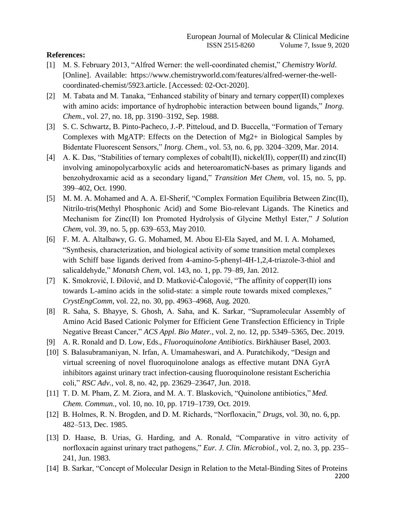#### **References:**

- [1] M. S. February 2013, "Alfred Werner: the well-coordinated chemist," *Chemistry World*. [Online]. Available: htt[ps://www.chemistryworld.com/features/alfred-werner-the-well](http://www.chemistryworld.com/features/alfred-werner-the-well-)coordinated-chemist/5923.article. [Accessed: 02-Oct-2020].
- [2] M. Tabata and M. Tanaka, "Enhanced stability of binary and ternary copper(II) complexes with amino acids: importance of hydrophobic interaction between bound ligands," *Inorg. Chem.*, vol. 27, no. 18, pp. 3190–3192, Sep. 1988.
- [3] S. C. Schwartz, B. Pinto-Pacheco, J.-P. Pitteloud, and D. Buccella, "Formation of Ternary Complexes with MgATP: Effects on the Detection of Mg2+ in Biological Samples by Bidentate Fluorescent Sensors," *Inorg. Chem.*, vol. 53, no. 6, pp. 3204–3209, Mar. 2014.
- [4] A. K. Das, "Stabilities of ternary complexes of cobalt(II), nickel(II), copper(II) and zinc(II) involving aminopolycarboxylic acids and heteroaromaticN-bases as primary ligands and benzohydroxamic acid as a secondary ligand," *Transition Met Chem*, vol. 15, no. 5, pp. 399–402, Oct. 1990.
- [5] M. M. A. Mohamed and A. A. El-Sherif, "Complex Formation Equilibria Between Zinc(II), Nitrilo-tris(Methyl Phosphonic Acid) and Some Bio-relevant Ligands. The Kinetics and Mechanism for Zinc(II) Ion Promoted Hydrolysis of Glycine Methyl Ester," *J Solution Chem*, vol. 39, no. 5, pp. 639–653, May 2010.
- [6] F. M. A. Altalbawy, G. G. Mohamed, M. Abou El-Ela Sayed, and M. I. A. Mohamed, "Synthesis, characterization, and biological activity of some transition metal complexes with Schiff base ligands derived from 4-amino-5-phenyl-4H-1,2,4-triazole-3-thiol and salicaldehyde," *Monatsh Chem*, vol. 143, no. 1, pp. 79–89, Jan. 2012.
- [7] K. Smokrović, I. Đilović, and D. Matković-Čalogović, "The affinity of copper(II) ions towards L-amino acids in the solid-state: a simple route towards mixed complexes," *CrystEngComm*, vol. 22, no. 30, pp. 4963–4968, Aug. 2020.
- [8] R. Saha, S. Bhayye, S. Ghosh, A. Saha, and K. Sarkar, "Supramolecular Assembly of Amino Acid Based Cationic Polymer for Efficient Gene Transfection Efficiency in Triple Negative Breast Cancer," *ACS Appl. Bio Mater.*, vol. 2, no. 12, pp. 5349–5365, Dec. 2019.
- [9] A. R. Ronald and D. Low, Eds., *Fluoroquinolone Antibiotics*. Birkhäuser Basel, 2003.
- [10] S. Balasubramaniyan, N. Irfan, A. Umamaheswari, and A. Puratchikody, "Design and virtual screening of novel fluoroquinolone analogs as effective mutant DNA GyrA inhibitors against urinary tract infection-causing fluoroquinolone resistant Escherichia coli," *RSC Adv.*, vol. 8, no. 42, pp. 23629–23647, Jun. 2018.
- [11] T. D. M. Pham, Z. M. Ziora, and M. A. T. Blaskovich, "Quinolone antibiotics," *Med. Chem. Commun.*, vol. 10, no. 10, pp. 1719–1739, Oct. 2019.
- [12] B. Holmes, R. N. Brogden, and D. M. Richards, "Norfloxacin," *Drugs*, vol. 30, no. 6, pp. 482–513, Dec. 1985.
- [13] D. Haase, B. Urias, G. Harding, and A. Ronald, "Comparative in vitro activity of norfloxacin against urinary tract pathogens," *Eur. J. Clin. Microbiol.*, vol. 2, no. 3, pp. 235– 241, Jun. 1983.
- 2200 [14] B. Sarkar, "Concept of Molecular Design in Relation to the Metal-Binding Sites of Proteins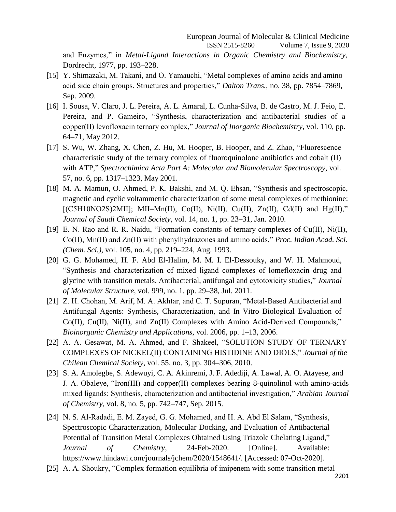and Enzymes," in *Metal-Ligand Interactions in Organic Chemistry and Biochemistry*, Dordrecht, 1977, pp. 193–228.

- [15] Y. Shimazaki, M. Takani, and O. Yamauchi, "Metal complexes of amino acids and amino acid side chain groups. Structures and properties," *Dalton Trans.*, no. 38, pp. 7854–7869, Sep. 2009.
- [16] I. Sousa, V. Claro, J. L. Pereira, A. L. Amaral, L. Cunha-Silva, B. de Castro, M. J. Feio, E. Pereira, and P. Gameiro, "Synthesis, characterization and antibacterial studies of a copper(II) levofloxacin ternary complex," *Journal of Inorganic Biochemistry*, vol. 110, pp. 64–71, May 2012.
- [17] S. Wu, W. Zhang, X. Chen, Z. Hu, M. Hooper, B. Hooper, and Z. Zhao, "Fluorescence characteristic study of the ternary complex of fluoroquinolone antibiotics and cobalt (II) with ATP," *Spectrochimica Acta Part A: Molecular and Biomolecular Spectroscopy*, vol. 57, no. 6, pp. 1317–1323, May 2001.
- [18] M. A. Mamun, O. Ahmed, P. K. Bakshi, and M. Q. Ehsan, "Synthesis and spectroscopic, magnetic and cyclic voltammetric characterization of some metal complexes of methionine:  $[(C5H10NO2S)2MII]$ ; MII=Mn(II), Co(II), Ni(II), Cu(II), Zn(II), Cd(II) and Hg(II)," *Journal of Saudi Chemical Society*, vol. 14, no. 1, pp. 23–31, Jan. 2010.
- [19] E. N. Rao and R. R. Naidu, "Formation constants of ternary complexes of Cu(II), Ni(II), Co(II), Mn(II) and Zn(II) with phenylhydrazones and amino acids," *Proc. Indian Acad. Sci. (Chem. Sci.)*, vol. 105, no. 4, pp. 219–224, Aug. 1993.
- [20] G. G. Mohamed, H. F. Abd El-Halim, M. M. I. El-Dessouky, and W. H. Mahmoud, "Synthesis and characterization of mixed ligand complexes of lomefloxacin drug and glycine with transition metals. Antibacterial, antifungal and cytotoxicity studies," *Journal of Molecular Structure*, vol. 999, no. 1, pp. 29–38, Jul. 2011.
- [21] Z. H. Chohan, M. Arif, M. A. Akhtar, and C. T. Supuran, "Metal-Based Antibacterial and Antifungal Agents: Synthesis, Characterization, and In Vitro Biological Evaluation of Co(II), Cu(II), Ni(II), and Zn(II) Complexes with Amino Acid-Derived Compounds," *Bioinorganic Chemistry and Applications*, vol. 2006, pp. 1–13, 2006.
- [22] A. A. Gesawat, M. A. Ahmed, and F. Shakeel, "SOLUTION STUDY OF TERNARY COMPLEXES OF NICKEL(II) CONTAINING HISTIDINE AND DIOLS," *Journal of the Chilean Chemical Society*, vol. 55, no. 3, pp. 304–306, 2010.
- [23] S. A. Amolegbe, S. Adewuyi, C. A. Akinremi, J. F. Adediji, A. Lawal, A. O. Atayese, and J. A. Obaleye, "Iron(III) and copper(II) complexes bearing 8-quinolinol with amino-acids mixed ligands: Synthesis, characterization and antibacterial investigation," *Arabian Journal of Chemistry*, vol. 8, no. 5, pp. 742–747, Sep. 2015.
- [24] N. S. Al-Radadi, E. M. Zayed, G. G. Mohamed, and H. A. Abd El Salam, "Synthesis, Spectroscopic Characterization, Molecular Docking, and Evaluation of Antibacterial Potential of Transition Metal Complexes Obtained Using Triazole Chelating Ligand," *Journal of Chemistry*, 24-Feb-2020. [Online]. Available: ht[tps://www.hindawi.com/journals/jchem/2020/1548641/.](http://www.hindawi.com/journals/jchem/2020/1548641/) [Accessed: 07-Oct-2020].
- [25] A. A. Shoukry, "Complex formation equilibria of imipenem with some transition metal